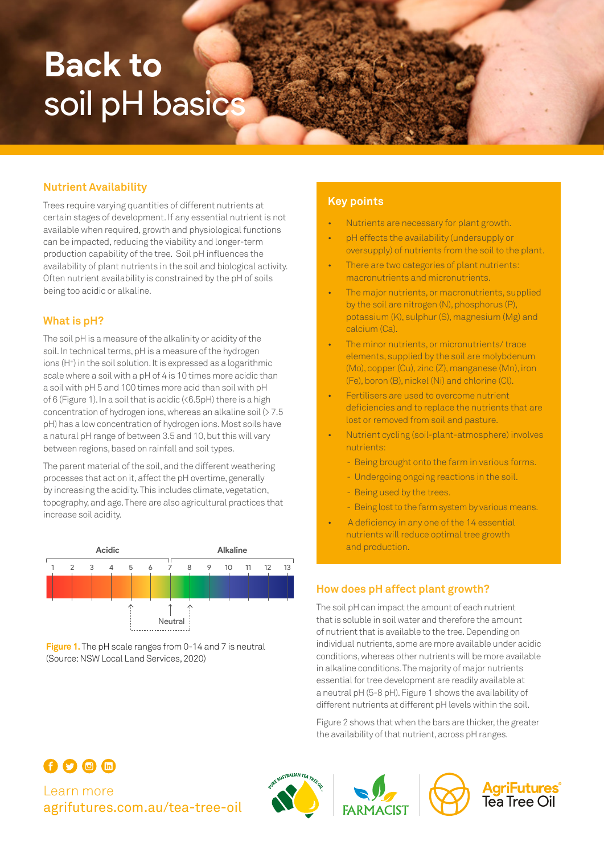# **Back to**  soil pH basics

#### **Nutrient Availability**

Trees require varying quantities of different nutrients at certain stages of development. If any essential nutrient is not available when required, growth and physiological functions can be impacted, reducing the viability and longer-term production capability of the tree. Soil pH influences the availability of plant nutrients in the soil and biological activity. Often nutrient availability is constrained by the pH of soils being too acidic or alkaline.

#### **What is pH?**

The soil pH is a measure of the alkalinity or acidity of the soil. In technical terms, pH is a measure of the hydrogen ions (H+) in the soil solution. It is expressed as a logarithmic scale where a soil with a pH of 4 is 10 times more acidic than a soil with pH 5 and 100 times more acid than soil with pH of 6 (Figure 1). In a soil that is acidic (<6.5pH) there is a high concentration of hydrogen ions, whereas an alkaline soil (> 7.5 pH) has a low concentration of hydrogen ions. Most soils have a natural pH range of between 3.5 and 10, but this will vary between regions, based on rainfall and soil types.

The parent material of the soil, and the different weathering processes that act on it, affect the pH overtime, generally by increasing the acidity. This includes climate, vegetation, topography, and age. There are also agricultural practices that increase soil acidity.





#### **Key points**

- Nutrients are necessary for plant growth.
- pH effects the availability (undersupply or oversupply) of nutrients from the soil to the plant.
- There are two categories of plant nutrients: macronutrients and micronutrients.
- The major nutrients, or macronutrients, supplied by the soil are nitrogen (N), phosphorus (P), potassium (K), sulphur (S), magnesium (Mg) and calcium (Ca).
- The minor nutrients, or micronutrients/ trace elements, supplied by the soil are molybdenum (Mo), copper (Cu), zinc (Z), manganese (Mn), iron (Fe), boron (B), nickel (Ni) and chlorine (Cl).
- Fertilisers are used to overcome nutrient deficiencies and to replace the nutrients that are lost or removed from soil and pasture.
- Nutrient cycling (soil-plant-atmosphere) involves nutrients:
	- Being brought onto the farm in various forms.
	- Undergoing ongoing reactions in the soil.
	- Being used by the trees.
	- Being lost to the farm system by various means.
- A deficiency in any one of the 14 essential nutrients will reduce optimal tree growth and production.

#### **How does pH affect plant growth?**

The soil pH can impact the amount of each nutrient that is soluble in soil water and therefore the amount of nutrient that is available to the tree. Depending on individual nutrients, some are more available under acidic conditions, whereas other nutrients will be more available in alkaline conditions. The majority of major nutrients essential for tree development are readily available at a neutral pH (5-8 pH). Figure 1 shows the availability of different nutrients at different pH levels within the soil.

Figure 2 shows that when the bars are thicker, the greater the availability of that nutrient, across pH ranges.

**AgriFutures<br>Tea Tree Oil** 

## Learn more [agrifutures.com.au/](http://agrifutures.com.au/tea-tree-oil)tea-tree-oil

 $000$ 

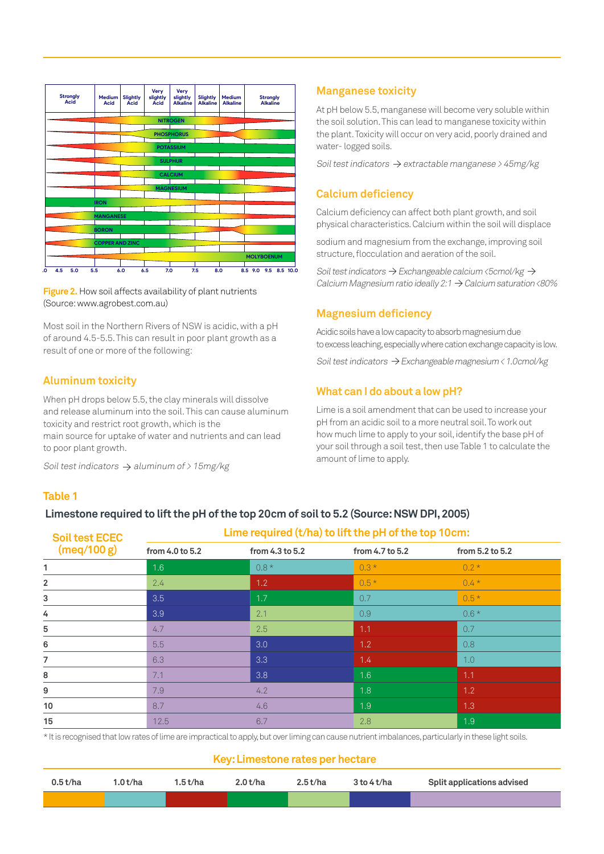

**Figure 2.** How soil affects availability of plant nutrients (Source: www.agrobest.com.au)

Most soil in the Northern Rivers of NSW is acidic, with a pH of around 4.5-5.5. This can result in poor plant growth as a result of one or more of the following:

#### **Aluminum toxicity**

When pH drops below 5.5, the clay minerals will dissolve and release aluminum into the soil. This can cause aluminum toxicity and restrict root growth, which is the main source for uptake of water and nutrients and can lead to poor plant growth.

Soil test indicators  $\rightarrow$  aluminum of > 15mg/kg

#### **Table 1**

#### **Limestone required to lift the pH of the top 20cm of soil to 5.2 (Source: NSW DPI, 2005)**

| <b>Soil test ECEC</b> | Lime required (t/ha) to lift the pH of the top 10cm: |                 |                 |                 |  |  |
|-----------------------|------------------------------------------------------|-----------------|-----------------|-----------------|--|--|
| (meq/100 g)           | from 4.0 to 5.2                                      | from 4.3 to 5.2 | from 4.7 to 5.2 | from 5.2 to 5.2 |  |  |
| 1                     | 1.6                                                  | $0.8*$          | $0.3*$          | $0.2*$          |  |  |
| $\overline{2}$        | 2.4                                                  | 1.2             | $0.5*$          | $0.4*$          |  |  |
| 3                     | 3.5                                                  | 1.7             | 0.7             | $0.5*$          |  |  |
| 4                     | 3.9                                                  | 2.1             | 0.9             | $0.6*$          |  |  |
| 5                     | 4.7                                                  | 2.5             | 1.1             | 0.7             |  |  |
| 6                     | 5.5                                                  | 3.0             | 1.2             | 0.8             |  |  |
| 7                     | 6.3                                                  | 3.3             | 1.4             | 1.0             |  |  |
| 8                     | 7.1                                                  | 3.8             | 1.6             | 1.1             |  |  |
| 9                     | 7.9                                                  | 4.2             | 1.8             | 1.2             |  |  |
| 10                    | 8.7                                                  | 4.6             | 1.9             | 1.3             |  |  |
| 15                    | 12.5                                                 | 6.7             | 2.8             | 1.9             |  |  |

\* It is recognised that low rates of lime are impractical to apply, but over liming can cause nutrient imbalances, particularly in these light soils.

#### **Key: Limestone rates per hectare**

| 0.5t/ha | .0 t/ha | 1.5t/ha | 2.0 t/ha | 2.5t/ha | $3$ to $4$ t/ha | Split applications advised |
|---------|---------|---------|----------|---------|-----------------|----------------------------|
|         |         |         |          |         |                 |                            |

#### **Manganese toxicity**

At pH below 5.5, manganese will become very soluble within the soil solution. This can lead to manganese toxicity within the plant. Toxicity will occur on very acid, poorly drained and water- logged soils.

Soil test indicators  $\rightarrow$  extractable manganese > 45mg/kg

#### **Calcium deficiency**

Calcium deficiency can affect both plant growth, and soil physical characteristics. Calcium within the soil will displace

sodium and magnesium from the exchange, improving soil structure, flocculation and aeration of the soil.

Soil test indicators  $\rightarrow$  Exchangeable calcium <5cmol/kg  $\rightarrow$ Calcium Magnesium ratio ideally 2:1  $\rightarrow$  Calcium saturation <80%

#### **Magnesium deficiency**

Acidic soils have a low capacity to absorb magnesium due to excess leaching, especially where cation exchange capacity is low.

Soil test indicators  $\rightarrow$  Exchangeable magnesium < 1.0cmol/kg

#### **What can I do about a low pH?**

Lime is a soil amendment that can be used to increase your pH from an acidic soil to a more neutral soil. To work out how much lime to apply to your soil, identify the base pH of your soil through a soil test, then use Table 1 to calculate the amount of lime to apply.